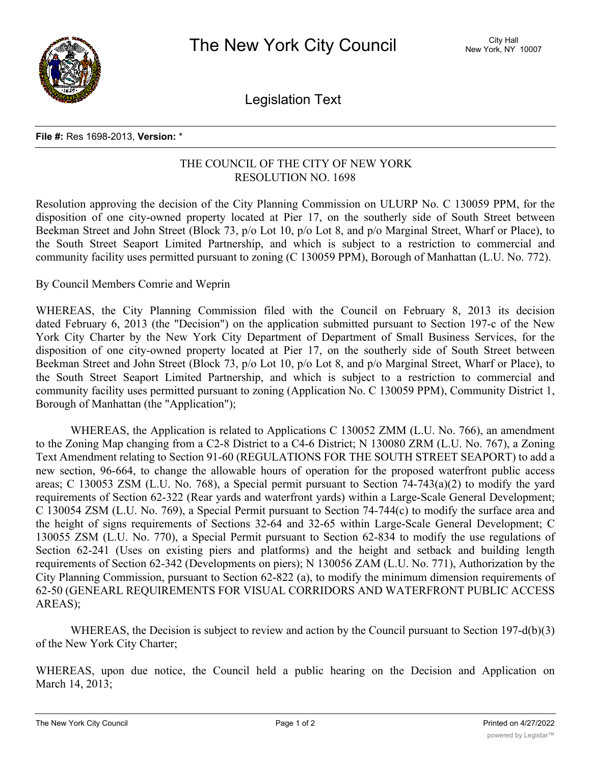

Legislation Text

## **File #:** Res 1698-2013, **Version:** \*

## THE COUNCIL OF THE CITY OF NEW YORK RESOLUTION NO. 1698

Resolution approving the decision of the City Planning Commission on ULURP No. C 130059 PPM, for the disposition of one city-owned property located at Pier 17, on the southerly side of South Street between Beekman Street and John Street (Block 73, p/o Lot 10, p/o Lot 8, and p/o Marginal Street, Wharf or Place), to the South Street Seaport Limited Partnership, and which is subject to a restriction to commercial and community facility uses permitted pursuant to zoning (C 130059 PPM), Borough of Manhattan (L.U. No. 772).

## By Council Members Comrie and Weprin

WHEREAS, the City Planning Commission filed with the Council on February 8, 2013 its decision dated February 6, 2013 (the "Decision") on the application submitted pursuant to Section 197-c of the New York City Charter by the New York City Department of Department of Small Business Services, for the disposition of one city-owned property located at Pier 17, on the southerly side of South Street between Beekman Street and John Street (Block 73, p/o Lot 10, p/o Lot 8, and p/o Marginal Street, Wharf or Place), to the South Street Seaport Limited Partnership, and which is subject to a restriction to commercial and community facility uses permitted pursuant to zoning (Application No. C 130059 PPM), Community District 1, Borough of Manhattan (the "Application");

WHEREAS, the Application is related to Applications C 130052 ZMM (L.U. No. 766), an amendment to the Zoning Map changing from a C2-8 District to a C4-6 District; N 130080 ZRM (L.U. No. 767), a Zoning Text Amendment relating to Section 91-60 (REGULATIONS FOR THE SOUTH STREET SEAPORT) to add a new section, 96-664, to change the allowable hours of operation for the proposed waterfront public access areas; C 130053 ZSM (L.U. No. 768), a Special permit pursuant to Section 74-743(a)(2) to modify the yard requirements of Section 62-322 (Rear yards and waterfront yards) within a Large-Scale General Development; C 130054 ZSM (L.U. No. 769), a Special Permit pursuant to Section 74-744(c) to modify the surface area and the height of signs requirements of Sections 32-64 and 32-65 within Large-Scale General Development; C 130055 ZSM (L.U. No. 770), a Special Permit pursuant to Section 62-834 to modify the use regulations of Section 62-241 (Uses on existing piers and platforms) and the height and setback and building length requirements of Section 62-342 (Developments on piers); N 130056 ZAM (L.U. No. 771), Authorization by the City Planning Commission, pursuant to Section 62-822 (a), to modify the minimum dimension requirements of 62-50 (GENEARL REQUIREMENTS FOR VISUAL CORRIDORS AND WATERFRONT PUBLIC ACCESS AREAS);

WHEREAS, the Decision is subject to review and action by the Council pursuant to Section 197-d(b)(3) of the New York City Charter;

WHEREAS, upon due notice, the Council held a public hearing on the Decision and Application on March 14, 2013;